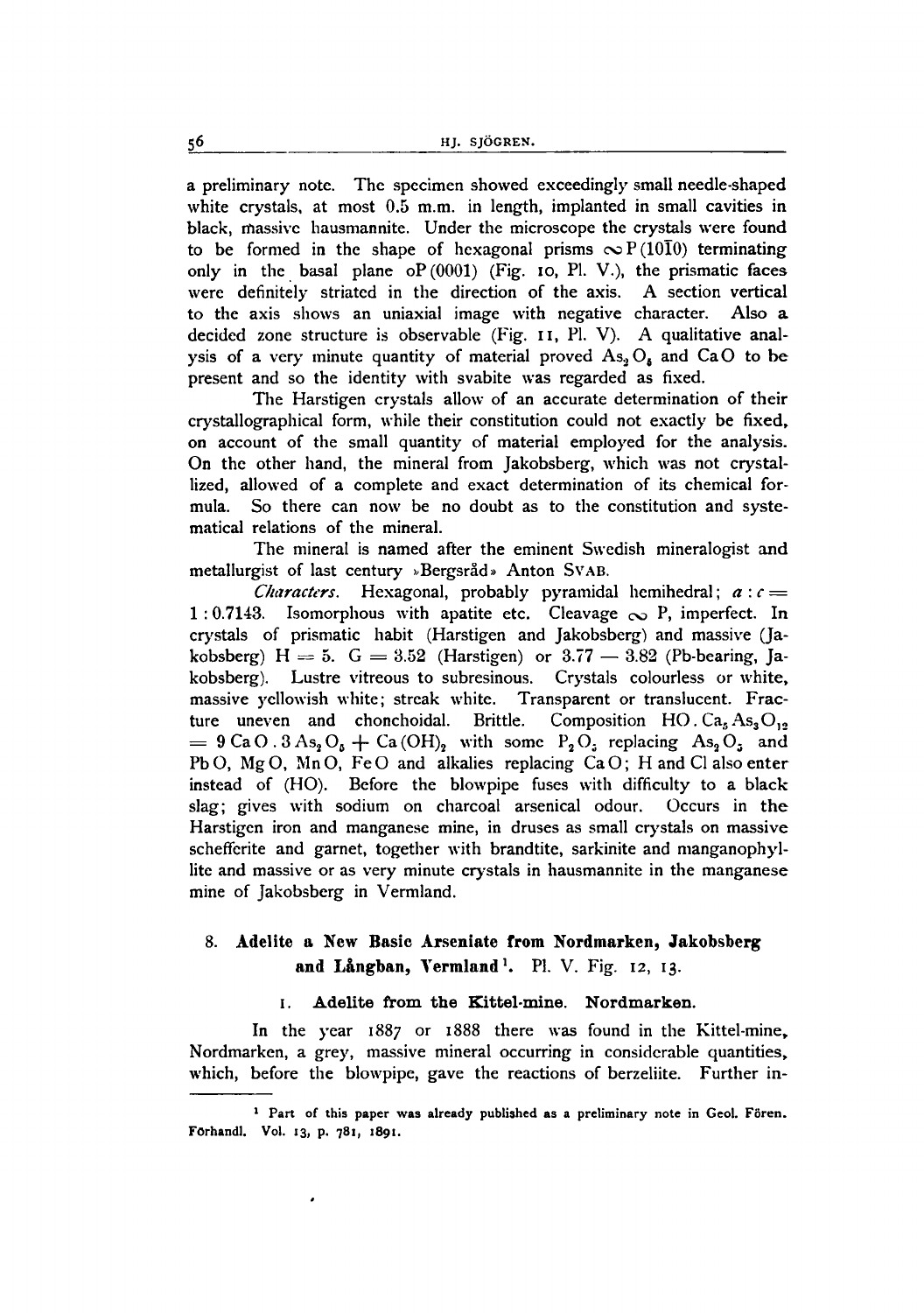a preliminary note. The specimen showed exceedingly small needle-shaped white crystals, at most 0.5 m.m. in length, implanted in small cavities in black, massive hausmannite. Under the microscope the crystals were found to be formed in the shape of hexagonal prisms  $\infty P(10\overline{1}0)$  terminating only in the basal plane  $oP(0001)$  (Fig. 10, Pl. V.), the prismatic faces were definitely striated in the direction of the axis. A section vertical to the axis shows an uniaxial image with negative character. Also a decided zone structure is observable (Fig. 11, Pl. V). A qualitative analysis of a very minute quantity of material proved  $As_2O_4$  and CaO to be present and so the identity with svabite was regarded as fixed.

The Harstigen crystals allow of an accurate determination of their crystallographical form, while their constitution could not exactly be fixed, on account of the small quantity of material employed for the analysis. On the other hand, the mineral from Jakobsberg, which was not crystallized, allowed of a complete and exact determination of its chemical formula. So there can now be no doubt as to the constitution and systematical relations of the mineral.

The mineral is named after the eminent Swedish mineralogist and metallurgist of last century »Bergsråd» Anton SVAB.

*Characters.* Hexagonal, probably pyramidal hemihedral;  $a : c =$ 1 : 0.7143. Isomorphous with apatite etc. Cleavage  $\infty$  P, imperfect. In crystals of prismatic habit (Harstigen and Jakobsberg) and massive (Jakobsberg) H = 5.  $G = 3.52$  (Harstigen) or  $3.77 - 3.82$  (Pb-bearing, Jakobsberg). Lustre vitreous to subresinous. Crystals colourless or white, massive yellowish white; streak white. Transparent or translucent. Fracture uneven and chonchoidal. Brittle. Composition HO.  $Ca<sub>5</sub> As<sub>3</sub>O<sub>12</sub>$  $= 9 \text{CaO}. 3 \text{As}_2\text{O}_4 + \text{Ca(OH)}_2$  with some  $P_2\text{O}_2$  replacing As<sub>2</sub>O<sub>2</sub> and =  $9 \text{ CaO. } 3 \text{ As}_2\text{O}_5 + \text{Ca(OH)}_2$  with some  $P_2\text{O}_5$  replacing As<sub>2</sub>O<sub>5</sub> and PbO, MgO, MnO, FeO and alkalies replacing CaO; H and Cl also enter instead of (HO). Before the blowpipe fuses with difficulty to a black slag; gives with sodium on charcoal arsenical odour. Occurs in the Harstigen iron and manganese mine, in druses as small crystals on massive schefferite and garnet, together with brandtite, sarkinite and manganophyllite and massive or as very minute crystals in hausmannite in the manganese mine of Jakobsberg in Vermland.

# 8. Adelite a New Basic Arseniate from Nordmarken, Jakobsberg and Långban, Vermland<sup>1</sup>. Pl. V. Fig. 12, 13.

#### I. Adelite from the Kittel·mine. Nordmarken.

In the year 1887 or 1888 there was found in the Kittel-mine, Nordmarken, a grey, massive mineral occurring in considerable quantities, which, before the blowpipe, gave the reactions of berzeliite. Further in-

 $<sup>1</sup>$  Part of this paper was already published as a preliminary note in Geol. Fören.</sup> FOrhand!. Vol. 13, p, 781, 1891.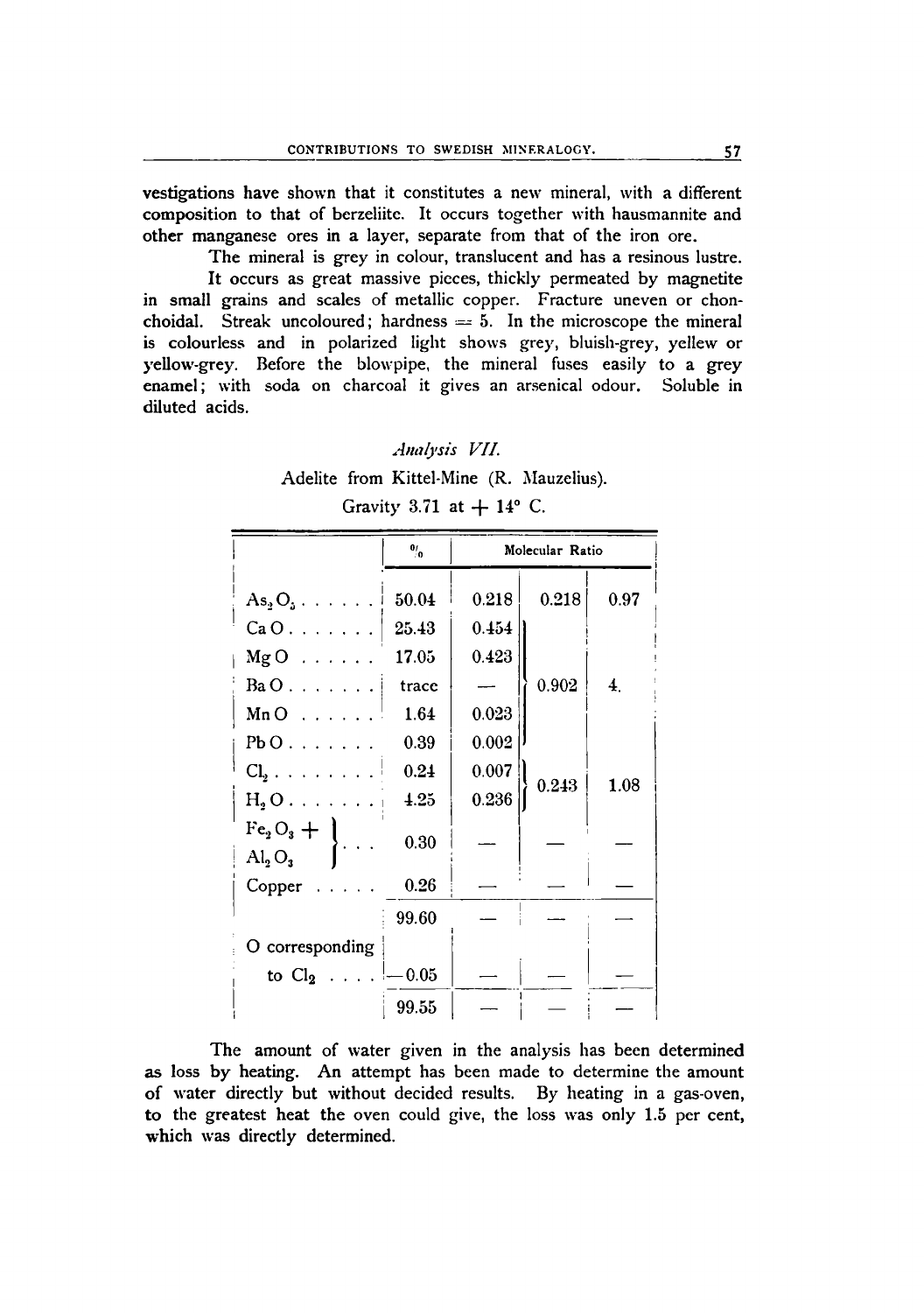vestigations have shown that it constitutes a new mineral, with a different composition to that of berzeliite. It occurs together with hausmannite and other manganese ores in a layer, separate from that of the iron ore.

The mineral is grey in colour, translucent and has a resinous lustre. It occurs as great massive pieces, thickly permeated by magnetite in small grains and scales of metallic copper. Fracture uneven or chonchoidal. Streak uncoloured; hardness  $= 5$ . In the microscope the mineral is colourless and in polarized light shows grey, bluish-grey, yellew or yellow-grey. Before the blowpipe, the mineral fuses easily to a grey enamel; with soda on charcoal it gives an arsenical odour. Soluble in diluted acids.

*Anaiysis VII.* Adelite from Kittel-Mine (R. Mauzelius). Gravity 3.71 at  $+14^{\circ}$  C.

|                                          | $\mathbf{e}_{i}$ | Molecular Ratio |       |                  |
|------------------------------------------|------------------|-----------------|-------|------------------|
| $As_2O_3 \ldots \ldots$                  | 50.04            | 0.218           | 0.218 | 0.97             |
| $CaO.$                                   | 25.43            | 0.454           |       |                  |
| $MgO$                                    | 17.05            | 0.423           |       |                  |
| $BaO$                                    | trace            |                 | 0.902 | $\overline{4}$ . |
| $MnO$                                    | 1.64             | 0.023           |       |                  |
| $Pb$ $0$                                 | 0.39             | 0.002           |       |                  |
| $Cl_2$                                   | 0.24             | 0.007           |       |                  |
| $\text{H}_{\text{2}}\text{O}$            | 4.25             | 0.236           | 0.243 | 1.08             |
| $Fe3O3 +$<br>$\mathrm{Al}_3\mathrm{O}_3$ | 0.30             |                 |       |                  |
| Copper<br>.                              | 0.26             |                 |       |                  |
|                                          | 99.60            |                 |       |                  |
| O corresponding                          |                  |                 |       |                  |
| to $Cl_2$ $\downarrow = 0.05$            |                  |                 |       |                  |
|                                          | 99.55            |                 |       |                  |

The amount of water given in the analysis has been determined as loss by heating. An attempt has been made to determine the amount of water directly but without decided results. By heating in a gas-oven, to the greatest heat the oven could give, the loss was only 1.5 per cent, which was directly determined.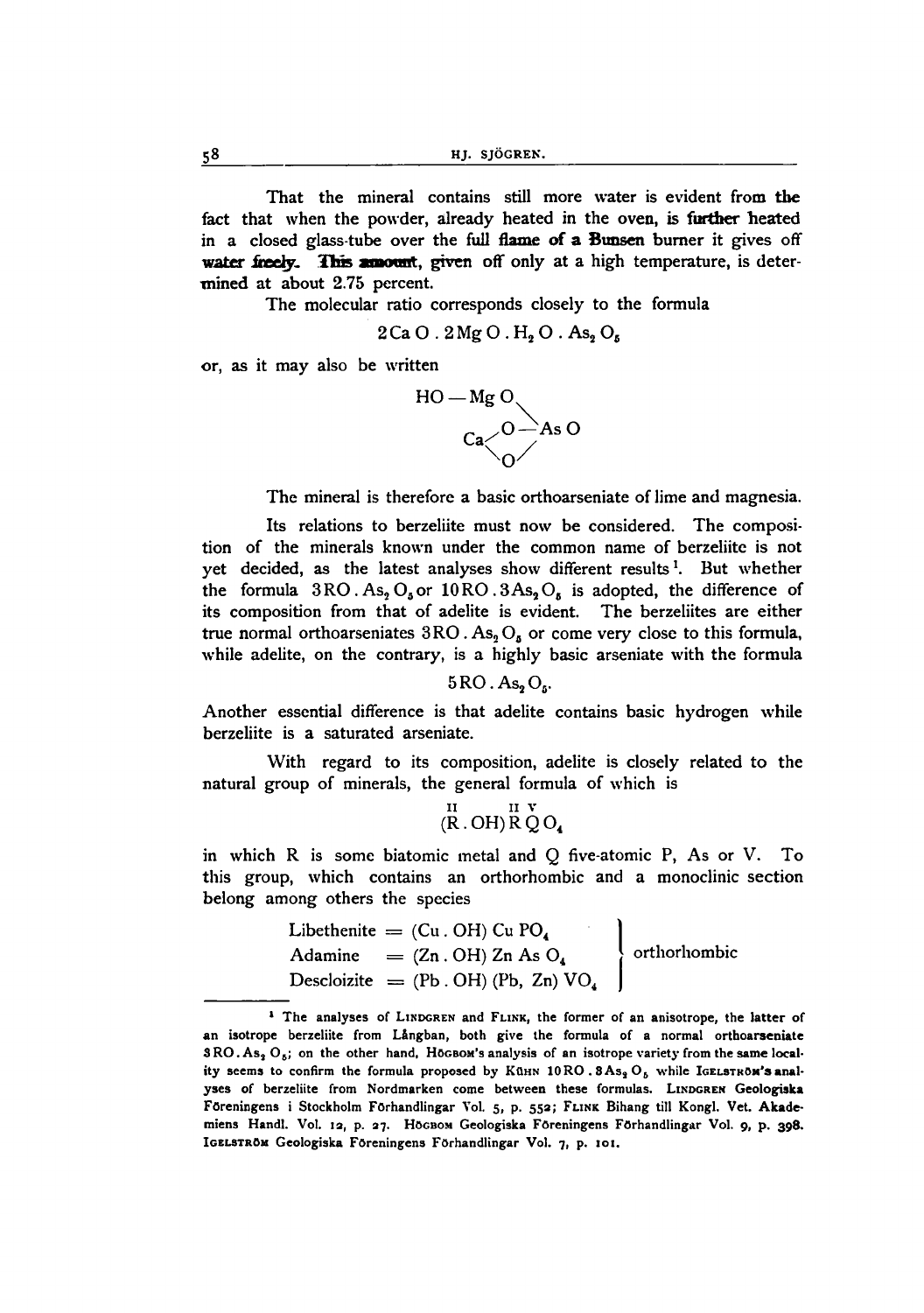That the mineral contains still more water is evident from the fact that when the powder, already heated in the oven, is further heated in a closed glass-tube over the full flame of a Bunsen burner it gives off water freely. This amount, given off only at a high temperature, is determined at about 2.75 percent.

The molecular ratio corresponds closely to the formula

$$
2Ca O. 2 Mg O. H2 O. As2 O5
$$

or, as it may also be written



The mineral is therefore a basic orthoarseniate of lime and magnesia.

Its relations to berzeliite must now be considered. The composition of the minerals known under the common name of berzeliite is not yet decided, as the latest analyses show different results<sup>1</sup>. But whether the formula  $3RO$ . As<sub>2</sub> O<sub>5</sub> or  $10RO$ .  $3As<sub>2</sub>O<sub>6</sub>$  is adopted, the difference of its composition from that of adelite is evident. The berzeliites are either true normal orthoarseniates  $3RO$ . As,  $O_6$  or come very close to this formula. while adelite, on the contrary, is a highly basic arseniate with the formula

 $5\rm{RO}$  .  $\rm{As}_2\rm{O}_6$ 

Another essential difference is that adelite contains basic hydrogen while berzeliite is a saturated arseniate.

With regard to its composition, adelite is closely related to the natural group of minerals, the general formula of which is

$$
\stackrel{\rm II}{(R\,.\,OH)}\stackrel{\rm II}{R}\stackrel{v}{Q}\rm O_4
$$

in which R is some biatomic metal and Q five-atomic P, As or V. To this group, which contains an orthorhombic and a monoclinic section belong among others the species

Libethenite = (Cu. OH) Cu P04 Adamine (Zn. OH) Zn As 04 Descloizite = (Pb. OH) (Pb, Zn) V04 1 orthorhombic J

<sup>&</sup>lt;sup>1</sup> The analyses of LINDGREN and FLINK, the former of an anisotrope, the latter of an isotrope berzeliite from Långban, both give the formula of a normal orthoarseniate  $SRO.As<sub>2</sub>O<sub>6</sub>$ ; on the other hand, Hogbom's analysis of an isotrope variety from the same locality seems to confirm the formula proposed by KüHN  $10RO. 3As<sub>3</sub>O<sub>6</sub>$  while IGELSTROM's analyses of berzeliite from Nordmarken come between these formulas. LINDGREN Geologiska Föreningens i Stockholm Förhandlingar Vol. 5, p. 552; FLINK Bihang till Kongl. Vet. Akademiens Handl. Vol. 12, p. 27. Högsom Geologiska Föreningens Förhandlingar Vol. 9, p. 398. IGELSTRÖM Geologiska Föreningens Förhandlingar Vol. 7, p. 101.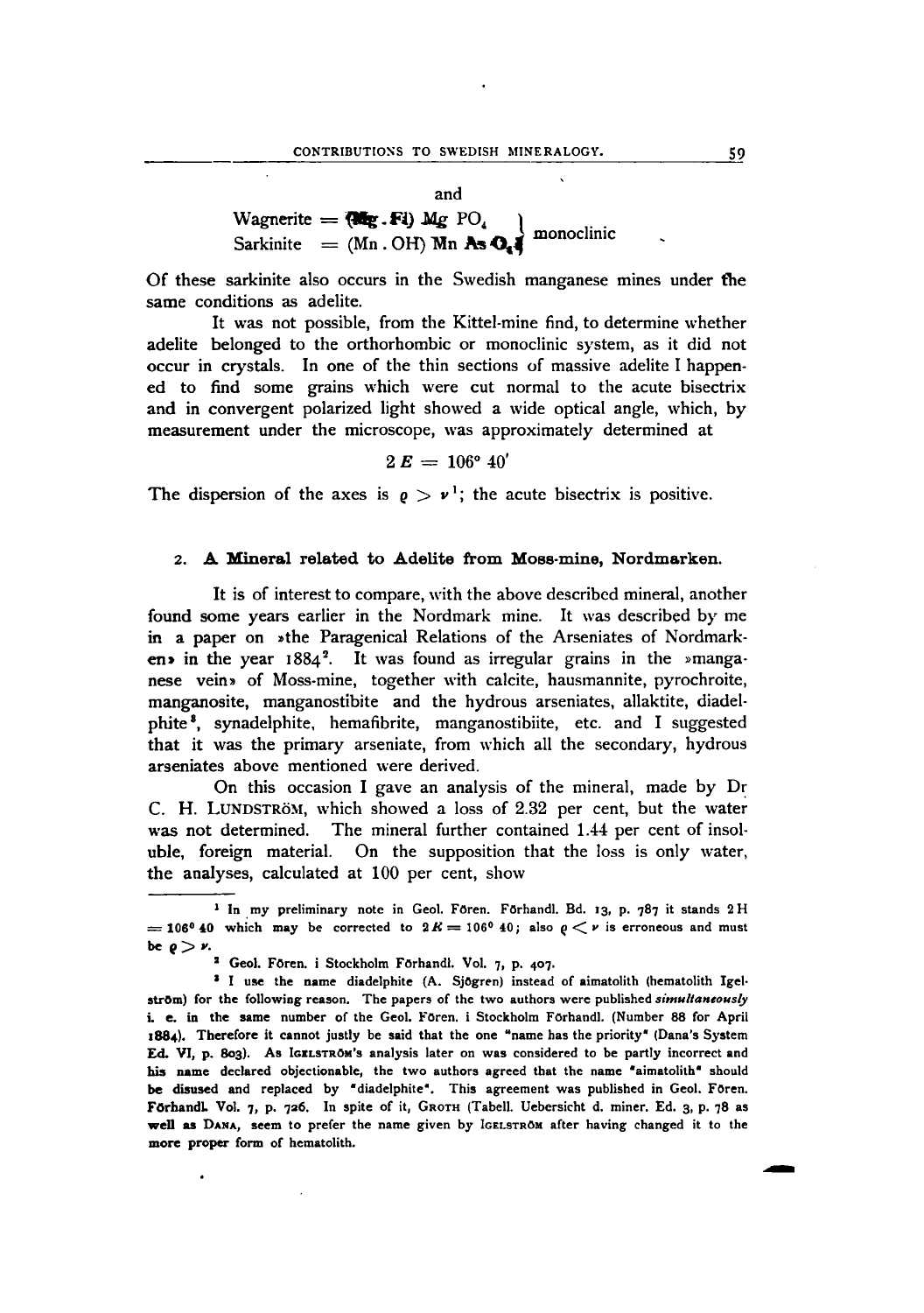Of these sarkinite also occurs in the Swedish manganese mines under tbe same conditions as adelite.

It was not possible, from the Kittel-mine find, to determine whether adelite belonged to the orthorhombic or monoclinic system, as it did not occur in crystals. In one of the thin sections of massive adelite I happened to find some grains which were cut normal to the acute bisectrix and in convergent polarized light showed a wide optical angle, which, by measurement under the microscope, was approximately determined at

$$
2\,\boldsymbol{E}\,=\,106^{\mathrm{o}}\,\,40^{\mathrm{'}}
$$

The dispersion of the axes is  $\rho > v^1$ ; the acute bisectrix is positive.

#### 2. A Mineral related to Adelite from Moss-mine, Nordmarken.

It is of interest to compare, with the above described mineral, another found some years earlier in the Nordmark mine. It was described by me in a paper on »the Paragenical Relations of the Arseniates of Nordmarken» in the year  $1884^2$ . It was found as irregular grains in the »manganese vein» of Moss-mine, together with calcite, hausmannite, pyrochroite, manganosite, manganostibite and the hydrous arseniates, allaktite, diadelphite 8, synadelphite, hemafibrite, manganostibiite, etc. and I suggested that it was the primary arseniate, from which all the secondary, hydrous arseniates above mentioned were derived.

On this occasion I gave an analysis of the mineral, made by  $Dr$ C. H. LUNDSTRÖM, which showed a loss of 2.32 per cent, but the water was not determined. The mineral further contained 1.44 per cent of insoluble, foreign material. On the supposition that the loss is only water, the analyses, calculated at 100 per cent, show

-

<sup>&</sup>lt;sup>1</sup> In my preliminary note in Geol. Fören, Förhandl. Bd. 13, p. 787 it stands 2 H = 106<sup>0</sup> 40 which may be corrected to  $2K = 106^{\circ}$  40; also  $\rho < \nu$  is erroneous and must be  $\rho > \nu$ .

<sup>&</sup>lt;sup>2</sup> Geol. Fören. i Stockholm Förhandl. Vol. 7, p. 407.

<sup>&</sup>lt;sup>3</sup> I use the name diadelphite (A. Sjögren) instead of aimatolith (hematolith IgelstrOm) for the following reason. The papers of the two authors were published *simultaneously* i. e. in the same number of the Geol. Fören. i Stockholm Förhandl. (Number 88 for April 1884). Therefore it cannot justly be said that the one "name has the priority" (Dana's System Ed. VI, p. 803). As IGELSTROM's analysis later on was considered to be partly incorrect and his name declared objectionable, the two authors agreed that the name "aimatolith" should be disused and replaced by "diadelphite". This agreement was published in Geol. Foren. FörhandL Vol. 7, p. 726. In spite of it, GROTH (Tabell. Uebersicht d. miner. Ed. 3, p. 78 as well as DANA, seem to prefer the name given by IGELSTROMafter having changed it to the more proper form of hematolith.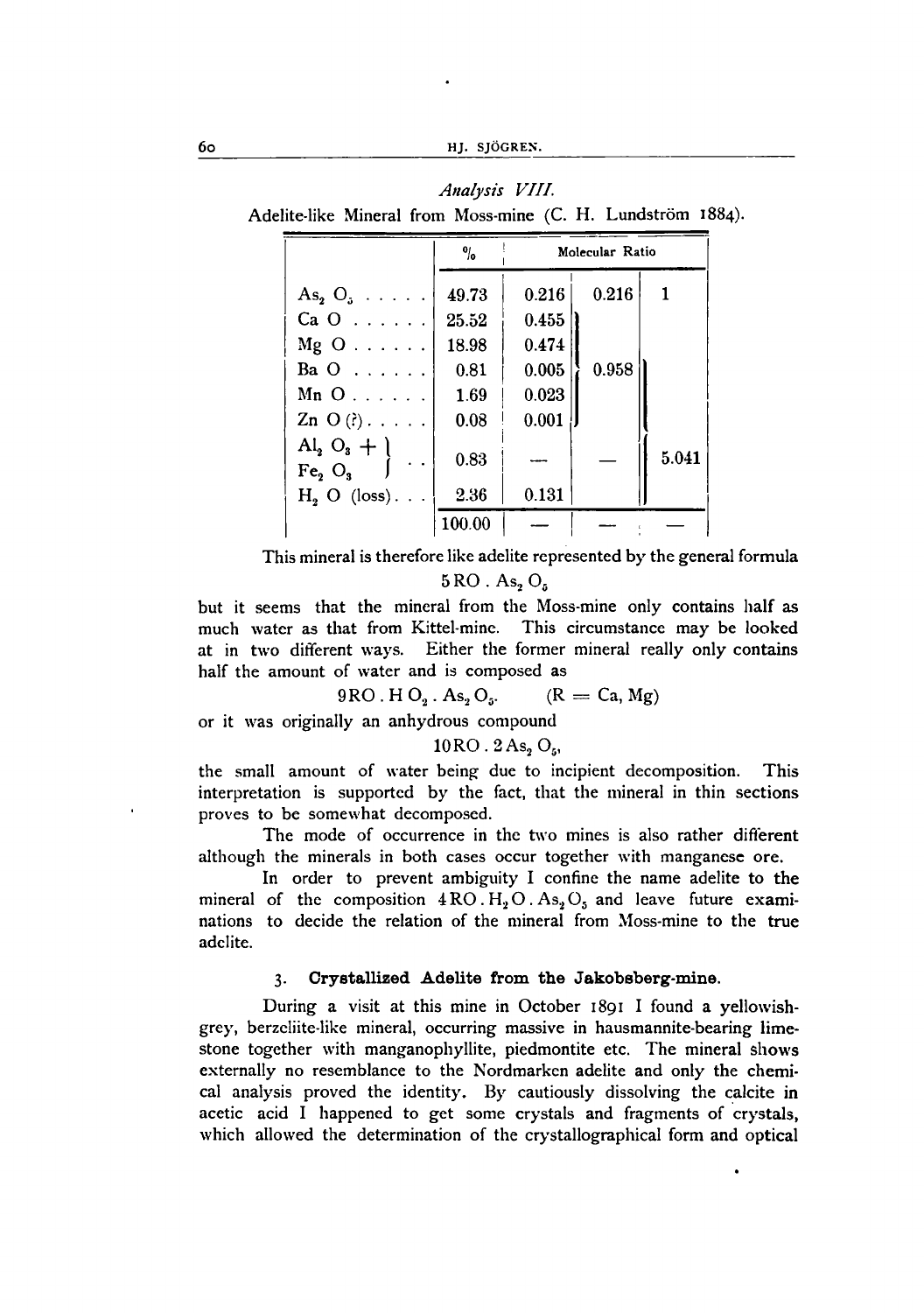|                              | $\frac{0}{10}$ | Molecular Ratio |       |       |  |
|------------------------------|----------------|-----------------|-------|-------|--|
| $As_2 O_1 \ldots$ .          | 49.73          | 0.216           | 0.216 |       |  |
| $CaO$                        | 25.52          | 0.455           |       |       |  |
| $Mg$ O $\ldots$ $\ldots$ .   | 18.98          | 0.474           |       |       |  |
| Ba $0 \ldots \ldots$         | 0.81           | 0.005           | 0.958 |       |  |
| $Mn$ O                       | 1.69           | 0.023           |       |       |  |
| $\text{Zn}$ O (?)            | 0.08           | 0.001           |       |       |  |
| $Al_2 O_3 + l$<br>$Fe2$ $O3$ | 0.83           |                 |       | 5.041 |  |
| $H_2$ O (loss)               | 2.36           | 0.131           |       |       |  |
|                              | 100.00         |                 |       |       |  |

*Analysis VIII.* Adelite-like Mineral from Moss-mine (C. H. Lundström 1884).

This mineral is therefore like adelite represented by the general formula

 $5 \text{RO}$ . As, O<sub>5</sub>

but it seems that the mineral from the Moss-mine only contains half as much water as that from Kittel-mine. This circumstance may be looked at in two different ways. Either the former mineral really only contains half the amount of water and is composed as<br>  $9RO \cdot H O_2 \cdot As_2 O_3.$  (R

$$
9RO. H O2. As2O5. (R = Ca, Mg)
$$

or it was originally an anhydrous compound

 $10RO. 2As, O<sub>n</sub>$ 

the small amount of water being due to incipient decomposition. This interpretation is supported by the fact, that the mineral in thin sections proves to be somewhat decomposed.

The mode of occurrence in the two mines is also rather different although the minerals in both cases occur together with manganese ore.

In order to prevent ambiguity I confine the name adelite to the mineral of the composition  $4 \text{ RO. H}_2 \text{O}$ . As<sub>2</sub>O<sub>5</sub> and leave future examinations to decide the relation of the mineral from Moss-mine to the true adcIite.

### 3. Crystallized Adelite from the Jakobsberg-mine.

During a visit at this mine in October 1891 I found a yellowishgrey, berzeliite-like mineral, occurring massive in hausmannite-bearing limestone together with manganophyllite, piedmontite etc. The mineral shows externally no resemblance to the Nordmarken adelite and only the chemical analysis proved the identity. By cautiously dissolving the calcite in acetic acid I happened to get some crystals and fragments of crystals, which allowed the determination of the crystallographical form and optical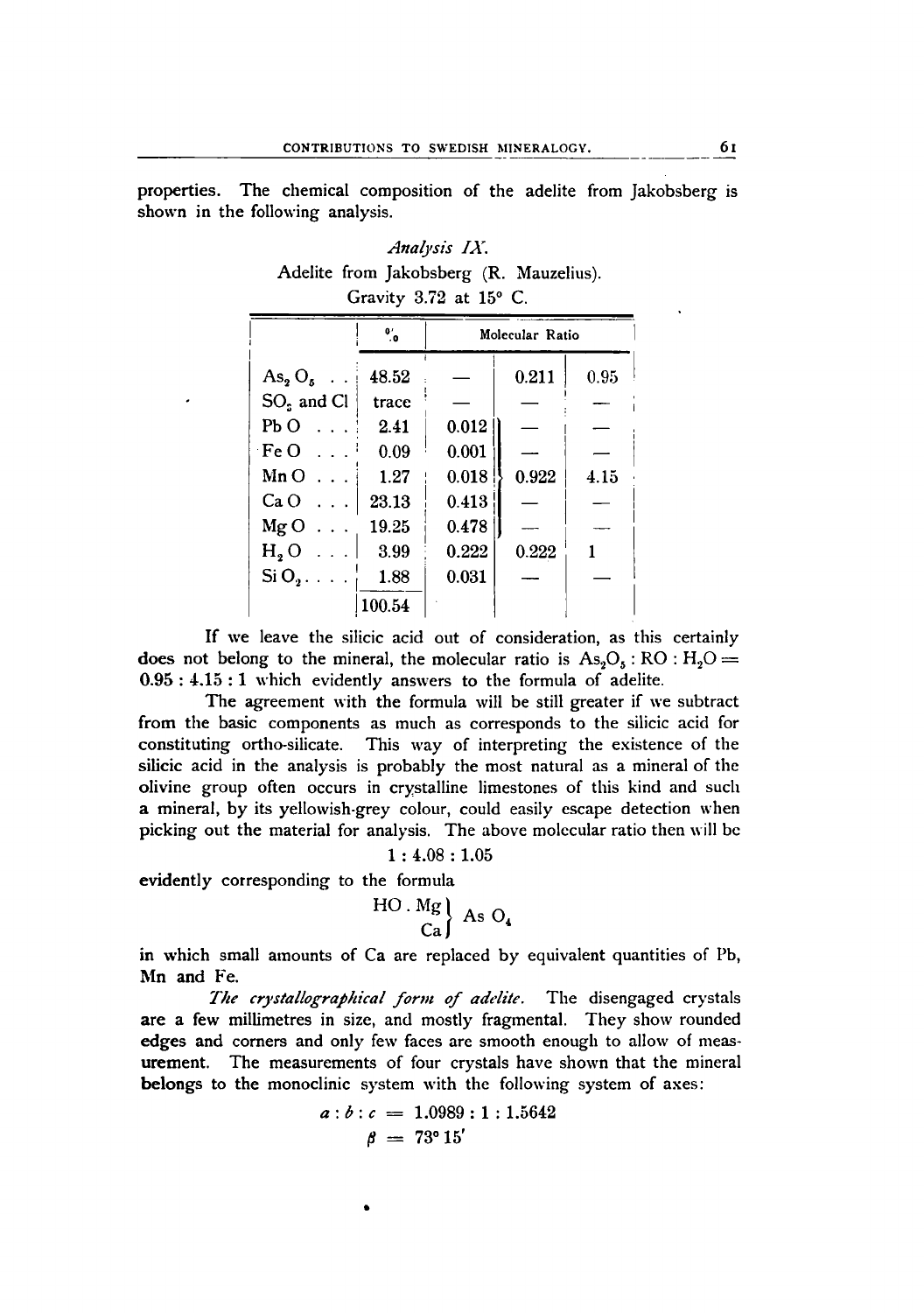properties. The chemical composition of the adelite from ]akobsberg is shown in the following analysis.

|  | Analysis IX.                            |  |
|--|-----------------------------------------|--|
|  | Adelite from Jakobsberg (R. Mauzelius). |  |
|  | Gravity $3.72$ at $15^{\circ}$ C.       |  |

|                          | $\overline{\mathbf{e}}_{i}$ | Molecular Ratio |       |      |  |  |
|--------------------------|-----------------------------|-----------------|-------|------|--|--|
| $\text{As}_2 \text{O}_5$ | 48.52                       |                 | 0.211 | 0.95 |  |  |
| $SOs$ and Cl             | trace                       |                 |       |      |  |  |
| $Pb$ O                   | 2.41                        | 0.012           |       |      |  |  |
| $\cdot$ Fe O             | 0.09                        | 0.001           |       |      |  |  |
| $Mn$ $O$                 | 1.27                        | 0.018           | 0.922 | 4.15 |  |  |
| Ca O                     | 23.13                       | 0.413           |       |      |  |  |
| MgO                      | 19.25                       | 0.478           |       |      |  |  |
| H, O<br>.                | 3.99                        | 0.222           | 0.222 |      |  |  |
| $Si$ O <sub>2</sub>      | 1.88                        | 0.031           |       |      |  |  |
|                          | 100.54                      |                 |       |      |  |  |

If we leave the silicic acid out of consideration, as this certainly does not belong to the mineral, the molecular ratio is  $As<sub>2</sub>O<sub>5</sub>$ : RO : H<sub>2</sub>O = 0.95 : 4.15 : 1 which evidently answers to the formula of adelite.

The agreement with the formula will be still greater if we subtract from the basic components as much as corresponds to the silicic acid for constituting ortho-silicate, This way of interpreting the existence of the silicic acid in the analysis is probably the most natural as a mineral of the olivine group often occurs in crystalline limestones of this kind and such a mineral, by its yellowish-grey colour, could easily escape detection when picking out the material for analysis. The above molecular ratio then will be

 $1:4.08:1.05$ 

evidently corresponding to the formula

$$
\begin{array}{c}\n\text{HO} \cdot \text{Mg} \\
\text{Ca}\n\end{array}\n\}
$$

in which small amounts of Ca are replaced by equivalent quantities of Pb, Mn and Fe.

*The crystallographicalform of adelite,* The disengaged crystals are a few millimetres in size, and mostly fragmental. They show rounded edges and corners and only few faces are smooth enough to allow of measurement. The measurements of four crystals have shown that the mineral belongs to the monoclinic system with the following system of axes:

$$
a:b:c = 1.0989:1:1.5642
$$

$$
\beta = 73^{\circ}15'
$$

•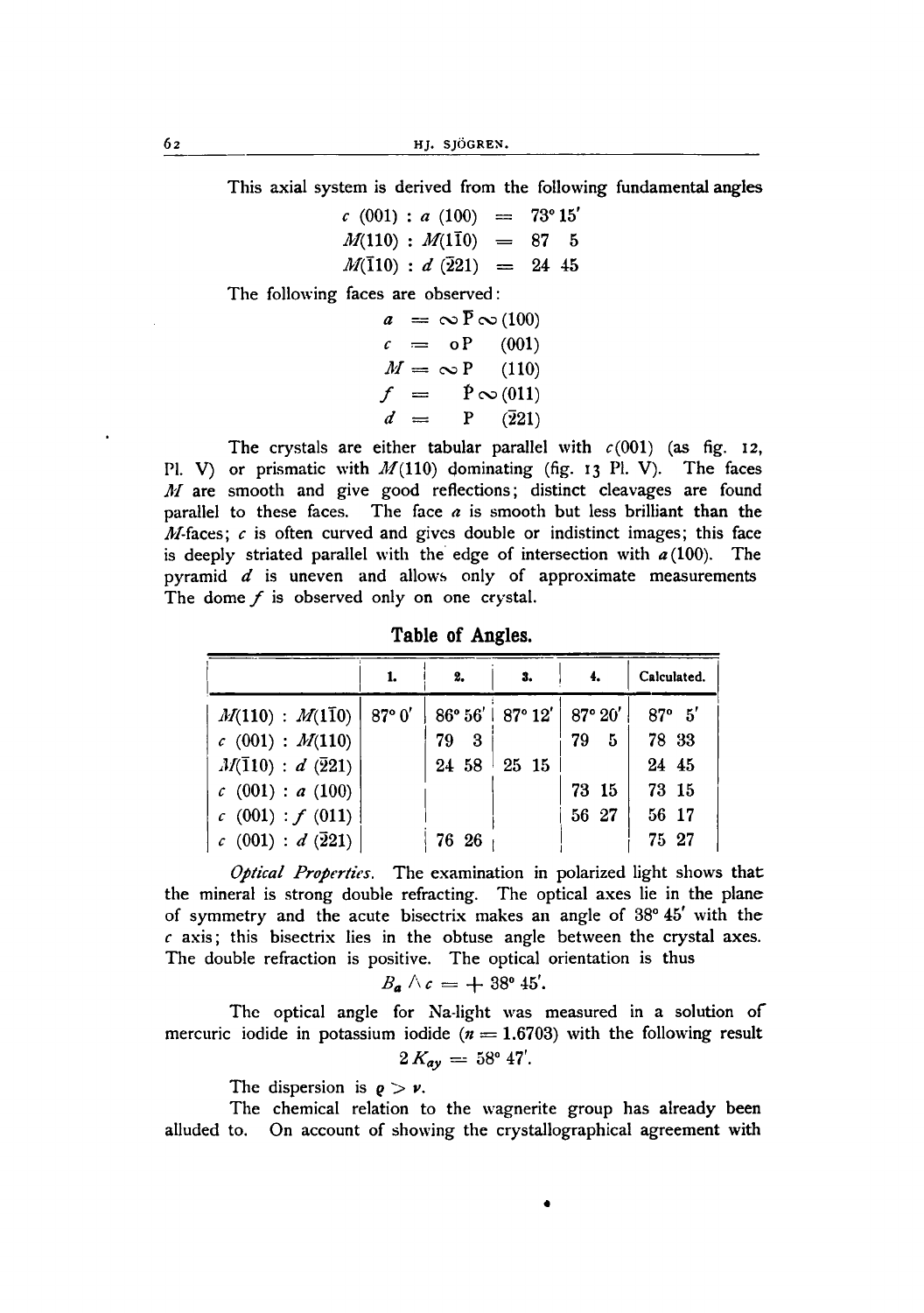62 HJ. SJÖGREN.

This axial system is derived from the following fundamental angles

 $c(001)$  :  $a(100)$  = 73°15'  $M(110)$  *: M(110)* = 87 5  $M(\bar{1}10)$  : *d*  $(\bar{2}21)$  = 24 45

The following faces are observed:

 $a = \infty \bar{P} \infty (100)$  $c = oP$  (001)  $M = \infty P$  (110)  $f = \mathbb{P} \infty(011)$  $d = P$   $(\overline{2}21)$ 

The crystals are either tabular parallel with  $c(001)$  (as fig. 12, Pl. V) or prismatic with  $M(110)$  dominating (fig. 13 Pl. V). The faces *Juff* are smooth and give good reflections; distinct cleavages are found parallel to these faces. The face *a* is smooth but less brilliant than the *M*-faces;  $c$  is often curved and gives double or indistinct images; this face is deeply striated parallel with the edge of intersection with  $a(100)$ . The pyramid *d* is uneven and allows only of approximate measurements The dome *f* is observed only on one crystal.

**Table of Angles.**

|                                         | 1. | 2.      | -3.                                                    | 4.       | Calculated.     |
|-----------------------------------------|----|---------|--------------------------------------------------------|----------|-----------------|
| $M(110) : M(1\bar{1}0)   87^{\circ} 0'$ |    |         | $86^{\circ} 56'$   $87^{\circ} 12'$   $87^{\circ} 20'$ |          | $87^{\circ}$ 5' |
| c(001) : M(110)                         |    | 79<br>3 |                                                        | 79<br>5. | 78 33           |
| $M(\bar{1}10): d(\bar{2}21)$            |    | 24 58   | 25 15                                                  |          | 24 45           |
| c(001): a(100)                          |    |         |                                                        | 73 15    | 73 15           |
| c(001): f(011)                          |    |         |                                                        | 56 27    | 56 17           |
| $c(001): d(\bar{2}21)$                  |    | 76 26   |                                                        |          | 75 27           |

*Optical Properties.* The examination in polarized light shows that the mineral is strong double refracting. The optical axes lie in the plane of symmetry and the acute bisectrix makes an angle of 38° 45' with the *c* axis; this bisectrix lies in the obtuse angle between the crystal axes. The double refraction is positive. The optical orientation is thus

$$
B_{\mathbf{a}}\wedge c=+\overset{\scriptscriptstyle1}{3}8^{\scriptscriptstyle0} 45'.
$$

The optical angle for Na-light was measured in a solution of mercuric iodide in potassium iodide ( $n = 1.6703$ ) with the following result  $2 K_{ay} = 58^{\circ} 47'.$ 

The dispersion is  $\rho > \nu$ .

The chemical relation to the wagnerite group has already been alluded to. On account of showing the crystallographical agreement with

•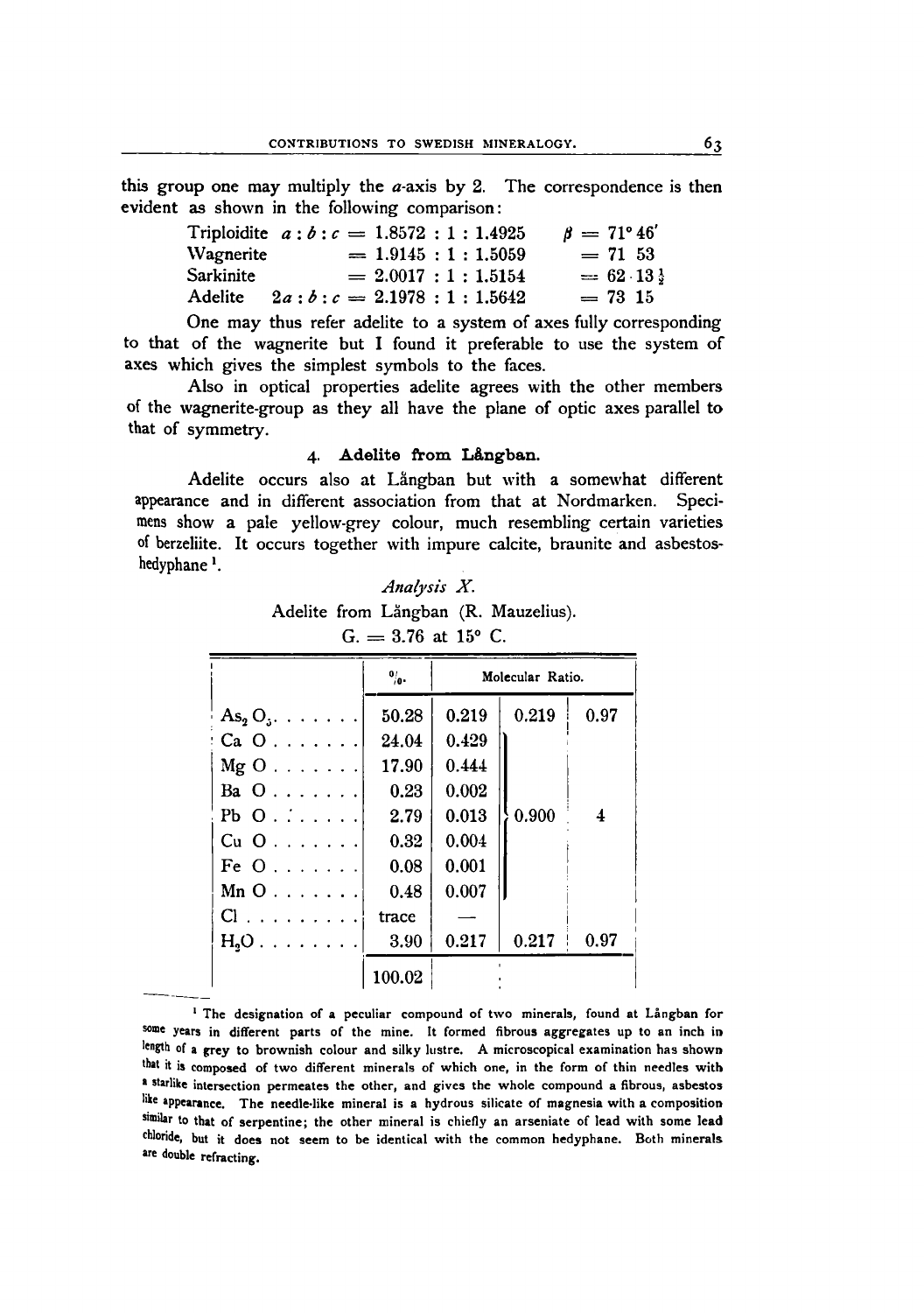this group one may multiply the  $a$ -axis by 2. The correspondence is then evident as shown in the following comparison:

| Triploidite $a:b:c = 1.8572:1:1.4925$ |                            |                         |                         | $\beta = 71^{\circ} 46'$ |
|---------------------------------------|----------------------------|-------------------------|-------------------------|--------------------------|
| Wagnerite                             |                            |                         | $= 1.9145 : 1 : 1.5059$ | $= 71, 53$               |
| Sarkinite                             |                            | $= 2.0017 : 1 : 1.5154$ |                         | $= 62.13$                |
| <b>Adelite</b>                        | $2a:b:c = 2.1978:1:1.5642$ |                         |                         | $= 73, 15$               |
|                                       |                            |                         |                         |                          |

One may thus refer adelite to a system of axes fully corresponding to that of the wagnerite but I found it preferable to use the system of axes which gives the simplest symbols to the faces.

Also in optical properties adelite agrees with the other members of the wagnerite-group as they all have the plane of optic axes parallel to that of symmetry.

## 4. Adelite from L&ngban.

Adelite occurs also at Långban but with a somewhat different appearance and in different association from that at Nordmarken. Specimens show a pale yellow-grey colour, much resembling certain varieties of berzeliite. It occurs together with impure calcite, braunite and asbestoshedyphane<sup>1</sup>.

*Analysis X.* Adelite from Långban (R. Mauzelius).  $G_{1} = 3.76$  at 15° C.

|                                   | $\frac{1}{\sqrt{2}}$ | Molecular Ratio. |       |                |
|-----------------------------------|----------------------|------------------|-------|----------------|
| $\text{As}_2 \text{O}_3$          | 50.28                | 0.219            | 0.219 | 0.97           |
| $Ca O.$                           | 24.04                | 0.429            |       |                |
| $Mg$ $O$                          | 17.90                | 0.444            |       |                |
| Ba $0 \ldots \ldots$              | 0.23                 | 0.002            |       |                |
| $Pb$ O. $\ldots$ .                | 2.79                 | 0.013            | 0.900 | $\overline{4}$ |
| Cu O                              | 0.32                 | 0.004            |       |                |
| Fe $0, \ldots,$                   | 0.08                 | 0.001            |       |                |
| $Mn$ O $\ldots$ $\ldots$ $\ldots$ | 0.48                 | 0.007            |       |                |
| Cl.                               | trace                |                  |       |                |
| $H_2O \ldots \ldots$              | 3.90                 | 0.217            | 0.217 | 0.97           |
|                                   | 100.02               |                  |       |                |

<sup>1</sup> The designation of a peculiar compound of two minerals, found at Langban for some years in different parts of the mine. It formed fibrous aggregates up to an inch in length of a grey to brownish colour and silky lustre. A microscopical examination has shown that it is composed of two different minerals of which one, in the form of thin needles with a starlike intersection permeates the other, and gives the whole compound a fibrous, asbestos like appearance. The needle-like mineral is a hydrous silicate of magnesia with a composition similar to that of serpentine; the other mineral is chiefly an arseniate of lead with some lead chloride, but it does not seem to be identical with the common hedyphane. Both minerals are double refracting.